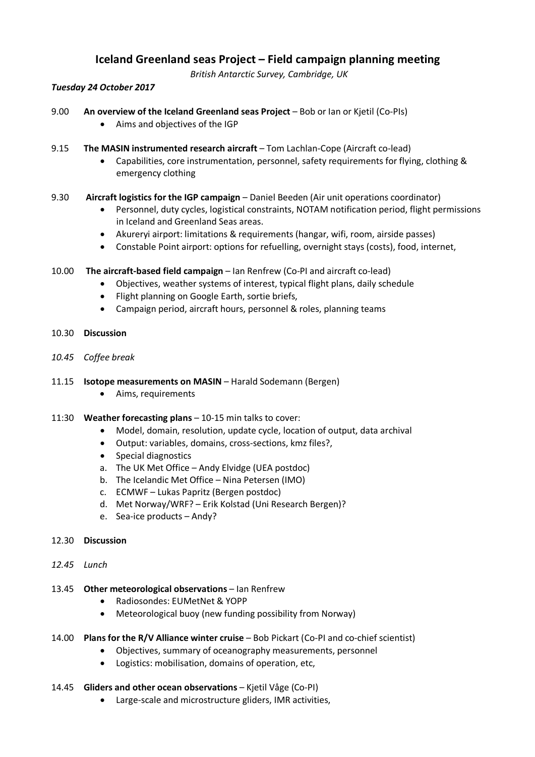# **Iceland Greenland seas Project – Field campaign planning meeting**

*British Antarctic Survey, Cambridge, UK*

#### *Tuesday 24 October 2017*

- 9.00 **An overview of the Iceland Greenland seas Project** Bob or Ian or Kjetil (Co-PIs)
	- Aims and objectives of the IGP
- 9.15 **The MASIN instrumented research aircraft** Tom Lachlan-Cope (Aircraft co-lead)
	- Capabilities, core instrumentation, personnel, safety requirements for flying, clothing & emergency clothing
- 9.30 **Aircraft logistics for the IGP campaign** Daniel Beeden (Air unit operations coordinator)
	- Personnel, duty cycles, logistical constraints, NOTAM notification period, flight permissions in Iceland and Greenland Seas areas.
	- Akureryi airport: limitations & requirements (hangar, wifi, room, airside passes)
	- Constable Point airport: options for refuelling, overnight stays (costs), food, internet,
- 10.00 **The aircraft-based field campaign** Ian Renfrew (Co-PI and aircraft co-lead)
	- Objectives, weather systems of interest, typical flight plans, daily schedule
	- Flight planning on Google Earth, sortie briefs,
	- Campaign period, aircraft hours, personnel & roles, planning teams
- 10.30 **Discussion**
- *10.45 Coffee break*
- 11.15 **Isotope measurements on MASIN** Harald Sodemann (Bergen)
	- Aims, requirements
- 11:30 **Weather forecasting plans** 10-15 min talks to cover:
	- Model, domain, resolution, update cycle, location of output, data archival
	- Output: variables, domains, cross-sections, kmz files?,
	- Special diagnostics
	- a. The UK Met Office Andy Elvidge (UEA postdoc)
	- b. The Icelandic Met Office Nina Petersen (IMO)
	- c. ECMWF Lukas Papritz (Bergen postdoc)
	- d. Met Norway/WRF? Erik Kolstad (Uni Research Bergen)?
	- e. Sea-ice products Andy?

#### 12.30 **Discussion**

- *12.45 Lunch*
- 13.45 **Other meteorological observations** Ian Renfrew
	- Radiosondes: EUMetNet & YOPP
	- Meteorological buoy (new funding possibility from Norway)
- 14.00 **Plans for the R/V Alliance winter cruise** Bob Pickart (Co-PI and co-chief scientist)
	- Objectives, summary of oceanography measurements, personnel
	- Logistics: mobilisation, domains of operation, etc,
- 14.45 **Gliders and other ocean observations** Kjetil Våge (Co-PI)
	- Large-scale and microstructure gliders, IMR activities,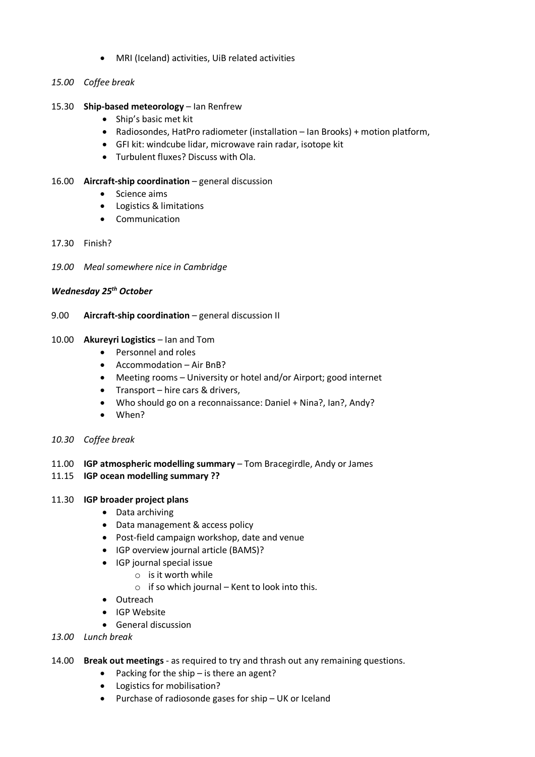- MRI (Iceland) activities, UiB related activities
- *15.00 Coffee break*
- 15.30 **Ship-based meteorology** Ian Renfrew
	- Ship's basic met kit
	- Radiosondes, HatPro radiometer (installation Ian Brooks) + motion platform,
	- GFI kit: windcube lidar, microwave rain radar, isotope kit
	- Turbulent fluxes? Discuss with Ola.
- 16.00 **Aircraft-ship coordination** general discussion
	- Science aims
	- Logistics & limitations
	- Communication
- 17.30 Finish?
- *19.00 Meal somewhere nice in Cambridge*

## *Wednesday 25th October*

9.00 **Aircraft-ship coordination** – general discussion II

#### 10.00 **Akureyri Logistics** – Ian and Tom

- Personnel and roles
- Accommodation Air BnB?
- Meeting rooms University or hotel and/or Airport; good internet
- Transport hire cars & drivers,
- Who should go on a reconnaissance: Daniel + Nina?, Ian?, Andy?
- When?
- *10.30 Coffee break*

## 11.00 **IGP atmospheric modelling summary** – Tom Bracegirdle, Andy or James

## 11.15 **IGP ocean modelling summary ??**

## 11.30 **IGP broader project plans**

- Data archiving
- Data management & access policy
- Post-field campaign workshop, date and venue
- IGP overview journal article (BAMS)?
- IGP journal special issue
	- o is it worth while
	- $\circ$  if so which journal Kent to look into this.
- Outreach
- IGP Website
- General discussion
- *13.00 Lunch break*
- 14.00 **Break out meetings** as required to try and thrash out any remaining questions.
	- Packing for the ship is there an agent?
	- Logistics for mobilisation?
	- Purchase of radiosonde gases for ship UK or Iceland